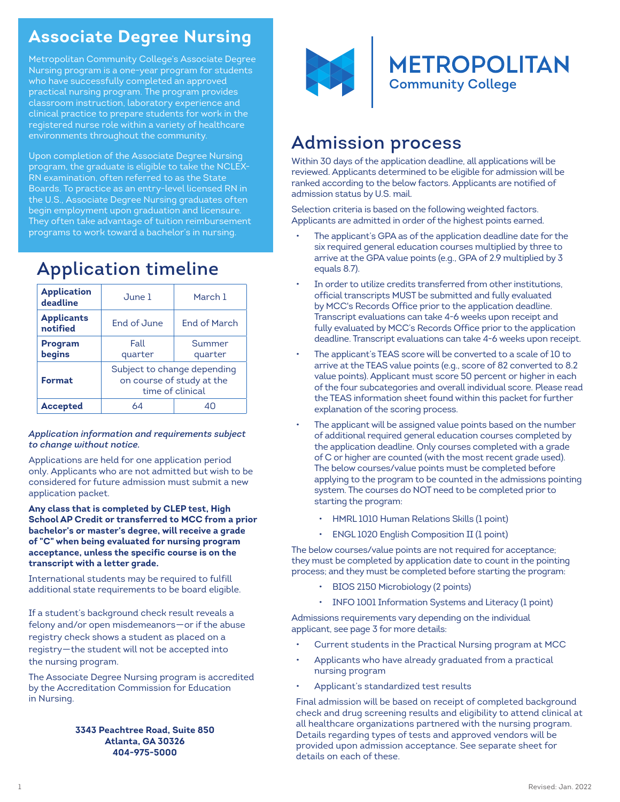# **Associate Degree Nursing**

Metropolitan Community College's Associate Degree Nursing program is a one-year program for students who have successfully completed an approved practical nursing program. The program provides classroom instruction, laboratory experience and clinical practice to prepare students for work in the registered nurse role within a variety of healthcare environments throughout the community.

Upon completion of the Associate Degree Nursing program, the graduate is eligible to take the NCLEX-RN examination, often referred to as the State Boards. To practice as an entry-level licensed RN in the U.S., Associate Degree Nursing graduates often begin employment upon graduation and licensure. They often take advantage of tuition reimbursement programs to work toward a bachelor's in nursing.

| <b>Application</b><br>deadline | June 1                                                                       | March 1             |  |
|--------------------------------|------------------------------------------------------------------------------|---------------------|--|
| <b>Applicants</b><br>notified  | End of June                                                                  | <b>Fnd of March</b> |  |
| <b>Program</b><br>begins       | Fall<br>quarter                                                              | Summer<br>quarter   |  |
| <b>Format</b>                  | Subject to change depending<br>on course of study at the<br>time of clinical |                     |  |
| <b>Accepted</b>                | 64                                                                           |                     |  |

# Application timeline

#### *Application information and requirements subject to change without notice.*

Applications are held for one application period only. Applicants who are not admitted but wish to be considered for future admission must submit a new application packet.

**Any class that is completed by CLEP test, High School AP Credit or transferred to MCC from a prior bachelor's or master's degree, will receive a grade of "C" when being evaluated for nursing program acceptance, unless the specific course is on the transcript with a letter grade.**

International students may be required to fulfill additional state requirements to be board eligible.

If a student's background check result reveals a felony and/or open misdemeanors—or if the abuse registry check shows a student as placed on a registry—the student will not be accepted into the nursing program.

The Associate Degree Nursing program is accredited by the Accreditation Commission for Education in Nursing.

#### **3343 Peachtree Road, Suite 850 Atlanta, GA 30326 404-975-5000**



# Admission process

Within 30 days of the application deadline, all applications will be reviewed. Applicants determined to be eligible for admission will be ranked according to the below factors. Applicants are notified of admission status by U.S. mail.

Selection criteria is based on the following weighted factors. Applicants are admitted in order of the highest points earned.

- The applicant's GPA as of the application deadline date for the six required general education courses multiplied by three to arrive at the GPA value points (e.g., GPA of 2.9 multiplied by 3 equals 8.7).
- In order to utilize credits transferred from other institutions, official transcripts MUST be submitted and fully evaluated by MCC's Records Office prior to the application deadline. Transcript evaluations can take 4-6 weeks upon receipt and fully evaluated by MCC's Records Office prior to the application deadline. Transcript evaluations can take 4-6 weeks upon receipt.
- The applicant's TEAS score will be converted to a scale of 10 to arrive at the TEAS value points (e.g., score of 82 converted to 8.2 value points). Applicant must score 50 percent or higher in each of the four subcategories and overall individual score. Please read the TEAS information sheet found within this packet for further explanation of the scoring process.
- The applicant will be assigned value points based on the number of additional required general education courses completed by the application deadline. Only courses completed with a grade of C or higher are counted (with the most recent grade used). The below courses/value points must be completed before applying to the program to be counted in the admissions pointing system. The courses do NOT need to be completed prior to starting the program:
	- HMRL 1010 Human Relations Skills (1 point)
	- ENGL 1020 English Composition II (1 point)

The below courses/value points are not required for acceptance; they must be completed by application date to count in the pointing process; and they must be completed before starting the program:

- BIOS 2150 Microbiology (2 points)
- INFO 1001 Information Systems and Literacy (1 point)

Admissions requirements vary depending on the individual applicant, see page 3 for more details:

- Current students in the Practical Nursing program at MCC
- Applicants who have already graduated from a practical nursing program
- Applicant's standardized test results

Final admission will be based on receipt of completed background check and drug screening results and eligibility to attend clinical at all healthcare organizations partnered with the nursing program. Details regarding types of tests and approved vendors will be provided upon admission acceptance. See separate sheet for details on each of these.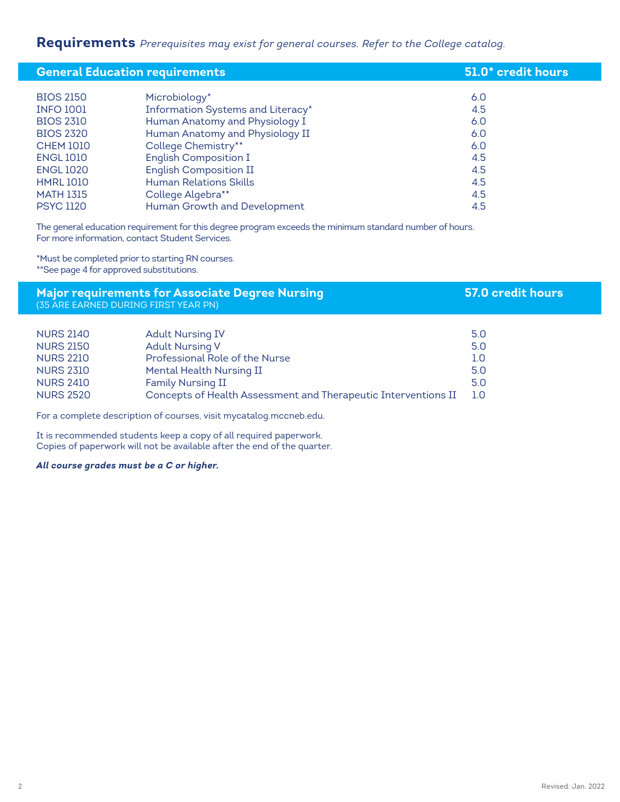## **Requirements** *Prerequisites may exist for general courses. Refer to the College catalog.*

| <b>General Education requirements</b> |                                   | 51.0* credit hours |
|---------------------------------------|-----------------------------------|--------------------|
|                                       |                                   |                    |
| <b>BIOS 2150</b>                      | Microbiology*                     | 6.0                |
| <b>INFO 1001</b>                      | Information Systems and Literacy* | 4.5                |
| <b>BIOS 2310</b>                      | Human Anatomy and Physiology I    | 6.0                |
| <b>BIOS 2320</b>                      | Human Anatomy and Physiology II   | 6.0                |
| <b>CHEM 1010</b>                      | College Chemistry**               | 6.0                |
| <b>ENGL 1010</b>                      | <b>English Composition I</b>      | 4.5                |
| <b>ENGL 1020</b>                      | <b>English Composition II</b>     | 4.5                |
| <b>HMRL1010</b>                       | <b>Human Relations Skills</b>     | 4.5                |
| <b>MATH 1315</b>                      | College Algebra**                 | 4.5                |
| <b>PSYC 1120</b>                      | Human Growth and Development      | 4.5                |

The general education requirement for this degree program exceeds the minimum standard number of hours. For more information, contact Student Services.

\*Must be completed prior to starting RN courses. \*\*See page 4 for approved substitutions.

### **Major requirements for Associate Degree Nursing 57.0 credit hours** (35 ARE EARNED DURING FIRST YEAR PN)

| <b>NURS 2140</b> | <b>Adult Nursing IV</b>                                        | 5.0 |
|------------------|----------------------------------------------------------------|-----|
| <b>NURS 2150</b> | <b>Adult Nursing V</b>                                         | 5.0 |
| <b>NURS 2210</b> | Professional Role of the Nurse                                 | 1.0 |
| <b>NURS 2310</b> | Mental Health Nursing II                                       | 5.0 |
| <b>NURS 2410</b> | Family Nursing II                                              | 5.0 |
| <b>NURS 2520</b> | Concepts of Health Assessment and Therapeutic Interventions II | 1.O |

For a complete description of courses, visit mycatalog.mccneb.edu.

It is recommended students keep a copy of all required paperwork. Copies of paperwork will not be available after the end of the quarter.

*All course grades must be a C or higher.*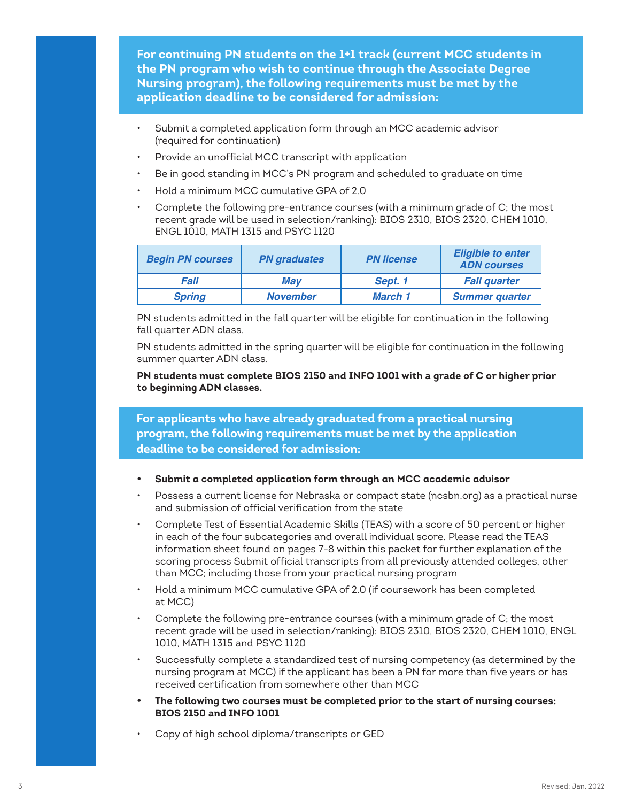**For continuing PN students on the 1+1 track (current MCC students in the PN program who wish to continue through the Associate Degree Nursing program), the following requirements must be met by the application deadline to be considered for admission:**

- Submit a completed application form through an MCC academic advisor (required for continuation)
- Provide an unofficial MCC transcript with application
- Be in good standing in MCC's PN program and scheduled to graduate on time
- Hold a minimum MCC cumulative GPA of 2.0
- Complete the following pre-entrance courses (with a minimum grade of C; the most recent grade will be used in selection/ranking): BIOS 2310, BIOS 2320, CHEM 1010, ENGL 1010, MATH 1315 and PSYC 1120

| <b>Begin PN courses</b> | <b>PN</b> graduates | <b>PN license</b> | <b>Eligible to enter</b><br><b>ADN</b> courses |
|-------------------------|---------------------|-------------------|------------------------------------------------|
| Fall<br>Mav             |                     | Sept. 1           | <b>Fall quarter</b>                            |
| <b>Spring</b>           | <b>November</b>     | March 1           | <b>Summer quarter</b>                          |

PN students admitted in the fall quarter will be eligible for continuation in the following fall quarter ADN class.

PN students admitted in the spring quarter will be eligible for continuation in the following summer quarter ADN class.

**PN students must complete BIOS 2150 and INFO 1001 with a grade of C or higher prior to beginning ADN classes.**

**For applicants who have already graduated from a practical nursing program, the following requirements must be met by the application deadline to be considered for admission:**

- **• Submit a completed application form through an MCC academic advisor**
- Possess a current license for Nebraska or compact state (ncsbn.org) as a practical nurse and submission of official verification from the state
- Complete Test of Essential Academic Skills (TEAS) with a score of 50 percent or higher in each of the four subcategories and overall individual score. Please read the TEAS information sheet found on pages 7-8 within this packet for further explanation of the scoring process Submit official transcripts from all previously attended colleges, other than MCC; including those from your practical nursing program
- Hold a minimum MCC cumulative GPA of 2.0 (if coursework has been completed at MCC)
- Complete the following pre-entrance courses (with a minimum grade of C; the most recent grade will be used in selection/ranking): BIOS 2310, BIOS 2320, CHEM 1010, ENGL 1010, MATH 1315 and PSYC 1120
- Successfully complete a standardized test of nursing competency (as determined by the nursing program at MCC) if the applicant has been a PN for more than five years or has received certification from somewhere other than MCC
- **• The following two courses must be completed prior to the start of nursing courses: BIOS 2150 and INFO 1001**
- Copy of high school diploma/transcripts or GED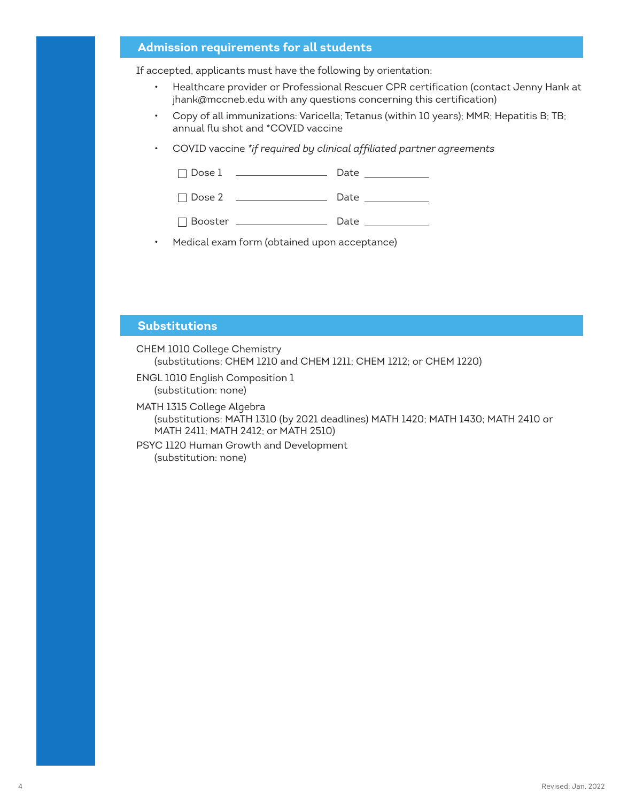#### **Admission requirements for all students**

If accepted, applicants must have the following by orientation:

- Healthcare provider or Professional Rescuer CPR certification (contact Jenny Hank at jhank@mccneb.edu with any questions concerning this certification)
- Copy of all immunizations: Varicella; Tetanus (within 10 years); MMR; Hepatitis B; TB; annual flu shot and \*COVID vaccine
- COVID vaccine *\*if required by clinical affiliated partner agreements*

| $\Box$<br>Dose<br>Date<br>.<br>. |  |
|----------------------------------|--|
|----------------------------------|--|

Dose 2 Date

**Booster** <u>Date</u> Date **Date** 

• Medical exam form (obtained upon acceptance)

#### **Substitutions**

- CHEM 1010 College Chemistry (substitutions: CHEM 1210 and CHEM 1211; CHEM 1212; or CHEM 1220)
- ENGL 1010 English Composition 1 (substitution: none)
- MATH 1315 College Algebra (substitutions: MATH 1310 (by 2021 deadlines) MATH 1420; MATH 1430; MATH 2410 or MATH 2411; MATH 2412; or MATH 2510)
- PSYC 1120 Human Growth and Development (substitution: none)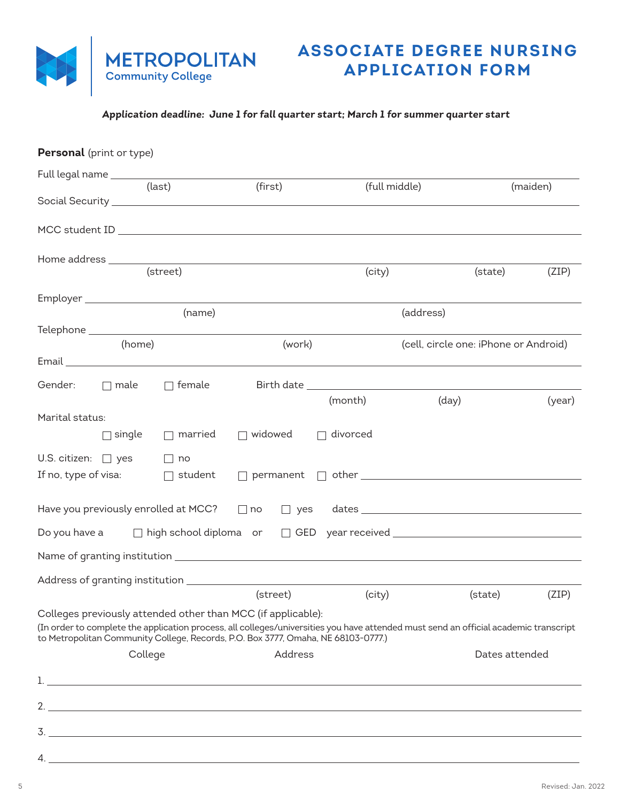

## **ASSOCIATE DEGREE NURSING APPLICATION FORM**

## **Application deadline: June 1 for fall quarter start; March 1 for summer quarter start**

| Personal (print or type)                       |               |                |                                                                                                                                                   |                 |                                                                                                                                                                                                                                                                                                                                                                                                                                                                                                                                                                                                                     |                |
|------------------------------------------------|---------------|----------------|---------------------------------------------------------------------------------------------------------------------------------------------------|-----------------|---------------------------------------------------------------------------------------------------------------------------------------------------------------------------------------------------------------------------------------------------------------------------------------------------------------------------------------------------------------------------------------------------------------------------------------------------------------------------------------------------------------------------------------------------------------------------------------------------------------------|----------------|
| Full legal name ______________________________ |               | (last)         |                                                                                                                                                   |                 |                                                                                                                                                                                                                                                                                                                                                                                                                                                                                                                                                                                                                     |                |
|                                                |               |                | (first)                                                                                                                                           |                 | (full middle)                                                                                                                                                                                                                                                                                                                                                                                                                                                                                                                                                                                                       | (maiden)       |
|                                                |               |                |                                                                                                                                                   |                 | MCC student ID and the contract of the contract of the contract of the contract of the contract of the contract of the contract of the contract of the contract of the contract of the contract of the contract of the contrac                                                                                                                                                                                                                                                                                                                                                                                      |                |
|                                                |               |                |                                                                                                                                                   |                 |                                                                                                                                                                                                                                                                                                                                                                                                                                                                                                                                                                                                                     |                |
|                                                |               |                |                                                                                                                                                   | (city)          | (state)                                                                                                                                                                                                                                                                                                                                                                                                                                                                                                                                                                                                             | (ZIP)          |
|                                                |               |                |                                                                                                                                                   |                 |                                                                                                                                                                                                                                                                                                                                                                                                                                                                                                                                                                                                                     |                |
|                                                |               | (name)         |                                                                                                                                                   |                 | (address)                                                                                                                                                                                                                                                                                                                                                                                                                                                                                                                                                                                                           |                |
|                                                | (home)        |                | (work)                                                                                                                                            |                 | (cell, circle one: iPhone or Android)                                                                                                                                                                                                                                                                                                                                                                                                                                                                                                                                                                               |                |
|                                                |               |                |                                                                                                                                                   |                 |                                                                                                                                                                                                                                                                                                                                                                                                                                                                                                                                                                                                                     |                |
| Gender: <u>I</u> male                          |               | $\Box$ female  |                                                                                                                                                   |                 |                                                                                                                                                                                                                                                                                                                                                                                                                                                                                                                                                                                                                     |                |
|                                                |               |                |                                                                                                                                                   | (month)         | (day)                                                                                                                                                                                                                                                                                                                                                                                                                                                                                                                                                                                                               | (year)         |
| Marital status:                                |               |                |                                                                                                                                                   |                 |                                                                                                                                                                                                                                                                                                                                                                                                                                                                                                                                                                                                                     |                |
|                                                | $\Box$ single | $\Box$ married | $\Box$ widowed                                                                                                                                    | $\Box$ divorced |                                                                                                                                                                                                                                                                                                                                                                                                                                                                                                                                                                                                                     |                |
| U.S. citizen: $\Box$ yes                       |               | $\Box$ no      |                                                                                                                                                   |                 |                                                                                                                                                                                                                                                                                                                                                                                                                                                                                                                                                                                                                     |                |
| If no, type of visa:                           |               | $\Box$ student |                                                                                                                                                   |                 |                                                                                                                                                                                                                                                                                                                                                                                                                                                                                                                                                                                                                     |                |
| Have you previously enrolled at MCC?           |               |                | $\Box$ no                                                                                                                                         |                 | $\begin{tabular}{ c c c c c } \hline \quad \quad \quad & \quad \quad \quad & \quad \quad \quad & \quad \quad \quad \\ \hline \quad \quad \quad & \quad \quad & \quad \quad & \quad \quad & \quad \quad \\ \hline \quad \quad \quad & \quad \quad & \quad \quad & \quad \quad & \quad \quad \\ \hline \quad \quad & \quad \quad & \quad \quad & \quad \quad & \quad \quad \\ \hline \quad \quad & \quad \quad & \quad \quad & \quad \quad & \quad \quad \\ \hline \quad \quad & \quad \quad & \quad \quad & \quad \quad & \quad \quad \\ \hline \quad \quad & \quad \quad & \quad \quad & \quad \quad & \quad \quad$ |                |
|                                                |               |                |                                                                                                                                                   |                 |                                                                                                                                                                                                                                                                                                                                                                                                                                                                                                                                                                                                                     |                |
|                                                |               |                |                                                                                                                                                   |                 |                                                                                                                                                                                                                                                                                                                                                                                                                                                                                                                                                                                                                     |                |
|                                                |               |                |                                                                                                                                                   |                 |                                                                                                                                                                                                                                                                                                                                                                                                                                                                                                                                                                                                                     |                |
|                                                |               |                | (street)                                                                                                                                          | (city)          | (state)                                                                                                                                                                                                                                                                                                                                                                                                                                                                                                                                                                                                             | (ZIP)          |
|                                                |               |                | Colleges previously attended other than MCC (if applicable):<br>to Metropolitan Community College, Records, P.O. Box 3777, Omaha, NE 68103-0777.) |                 | (In order to complete the application process, all colleges/universities you have attended must send an official academic transcript                                                                                                                                                                                                                                                                                                                                                                                                                                                                                |                |
|                                                | College       |                | Address                                                                                                                                           |                 |                                                                                                                                                                                                                                                                                                                                                                                                                                                                                                                                                                                                                     | Dates attended |
|                                                |               |                |                                                                                                                                                   |                 |                                                                                                                                                                                                                                                                                                                                                                                                                                                                                                                                                                                                                     |                |
|                                                |               |                |                                                                                                                                                   |                 |                                                                                                                                                                                                                                                                                                                                                                                                                                                                                                                                                                                                                     |                |
|                                                |               |                | $\frac{1}{2}$                                                                                                                                     |                 |                                                                                                                                                                                                                                                                                                                                                                                                                                                                                                                                                                                                                     |                |
|                                                |               |                |                                                                                                                                                   |                 |                                                                                                                                                                                                                                                                                                                                                                                                                                                                                                                                                                                                                     |                |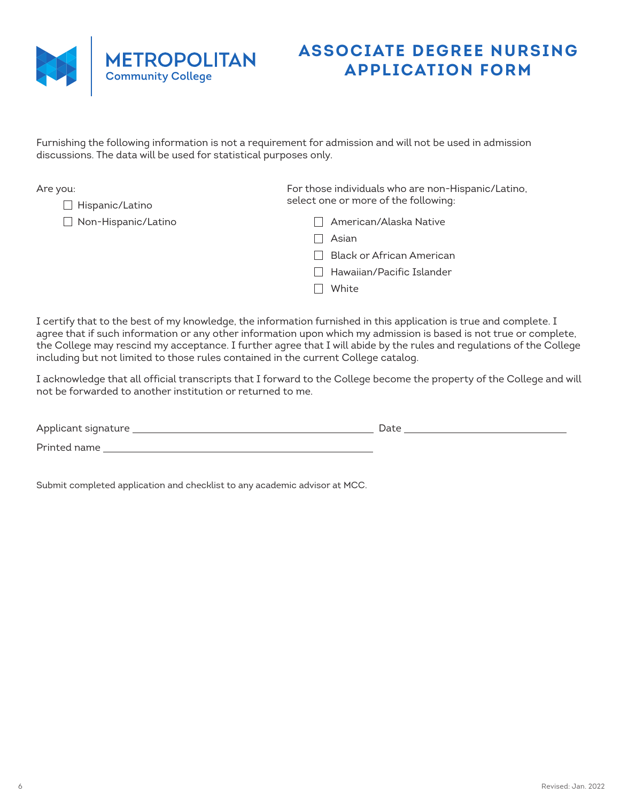

Are you:

## **ASSOCIATE DEGREE NURSING APPLICATION FORM**

Furnishing the following information is not a requirement for admission and will not be used in admission discussions. The data will be used for statistical purposes only.

| ou:                        | For those individuals who are non-Hispanic/Latino, |  |
|----------------------------|----------------------------------------------------|--|
| $\Box$ Hispanic/Latino     | select one or more of the following:               |  |
| $\Box$ Non-Hispanic/Latino | American/Alaska Native                             |  |
|                            | Asian                                              |  |
|                            | <b>Black or African American</b>                   |  |
|                            | Hawaiian/Pacific Islander                          |  |
|                            | White                                              |  |
|                            |                                                    |  |
|                            |                                                    |  |

I certify that to the best of my knowledge, the information furnished in this application is true and complete. I agree that if such information or any other information upon which my admission is based is not true or complete, the College may rescind my acceptance. I further agree that I will abide by the rules and regulations of the College including but not limited to those rules contained in the current College catalog.

I acknowledge that all official transcripts that I forward to the College become the property of the College and will not be forwarded to another institution or returned to me.

| Applicant signature | Date |
|---------------------|------|
| Printed name        |      |

Submit completed application and checklist to any academic advisor at MCC.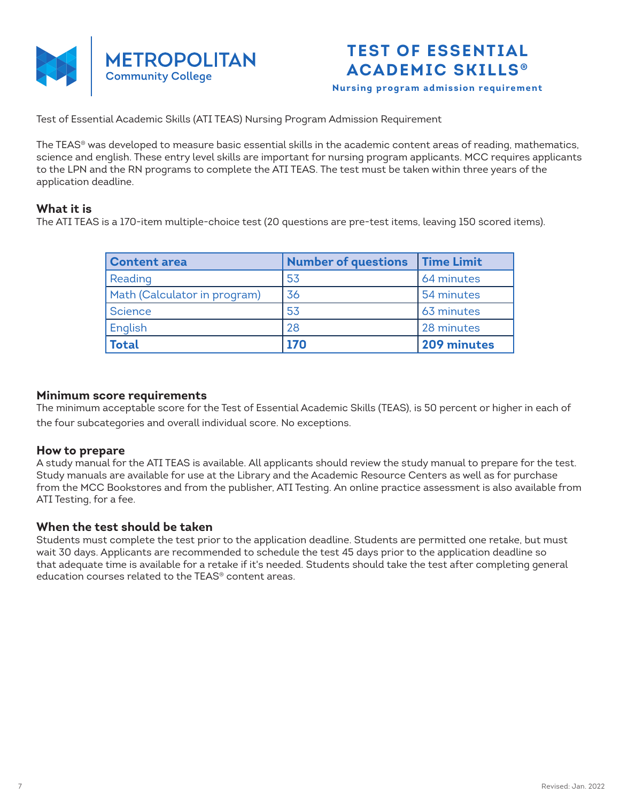

**Nursing program admission requirement**

Test of Essential Academic Skills (ATI TEAS) Nursing Program Admission Requirement

The TEAS® was developed to measure basic essential skills in the academic content areas of reading, mathematics, science and english. These entry level skills are important for nursing program applicants. MCC requires applicants to the LPN and the RN programs to complete the ATI TEAS. The test must be taken within three years of the application deadline.

## **What it is**

The ATI TEAS is a 170-item multiple-choice test (20 questions are pre-test items, leaving 150 scored items).

| <b>Content area</b>          | <b>Number of questions</b> | <b>Time Limit</b> |
|------------------------------|----------------------------|-------------------|
| Reading                      | 53                         | 64 minutes        |
| Math (Calculator in program) | 36                         | 54 minutes        |
| Science                      | 53                         | 63 minutes        |
| English                      | 28                         | 28 minutes        |
| <b>Total</b>                 | 170                        | 209 minutes       |

### **Minimum score requirements**

The minimum acceptable score for the Test of Essential Academic Skills (TEAS), is 50 percent or higher in each of the four subcategories and overall individual score. No exceptions.

### **How to prepare**

A study manual for the ATI TEAS is available. All applicants should review the study manual to prepare for the test. Study manuals are available for use at the Library and the Academic Resource Centers as well as for purchase from the MCC Bookstores and from the publisher, ATI Testing. An online practice assessment is also available from ATI Testing, for a fee.

### **When the test should be taken**

Students must complete the test prior to the application deadline. Students are permitted one retake, but must wait 30 days. Applicants are recommended to schedule the test 45 days prior to the application deadline so that adequate time is available for a retake if it's needed. Students should take the test after completing general education courses related to the TEAS® content areas.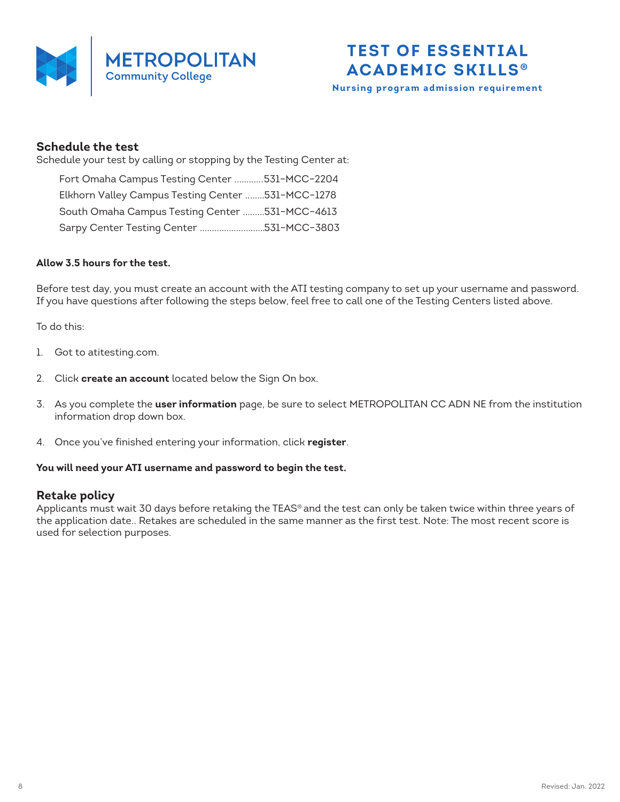



**Nursing program admission requirement**

### **Schedule the test**

Schedule your test by calling or stopping by the Testing Center at:

| Fort Omaha Campus Testing Center 531-MCC-2204     |  |
|---------------------------------------------------|--|
| Elkhorn Valley Campus Testing Center 531-MCC-1278 |  |
| South Omaha Campus Testing Center 531-MCC-4613    |  |
| Sarpy Center Testing Center 531-MCC-3803          |  |

#### **Allow 3.5 hours for the test.**

Before test day, you must create an account with the ATI testing company to set up your username and password. If you have questions after following the steps below, feel free to call one of the Testing Centers listed above.

To do this:

- 1. Got to atitesting.com.
- 2. Click **create an account** located below the Sign On box.
- 3. As you complete the **user information** page, be sure to select METROPOLITAN CC ADN NE from the institution information drop down box.
- 4. Once you've finished entering your information, click **register**.

#### **You will need your ATI username and password to begin the test.**

### **Retake policy**

Applicants must wait 30 days before retaking the TEAS® and the test can only be taken twice within three years of the application date.. Retakes are scheduled in the same manner as the first test. Note: The most recent score is used for selection purposes.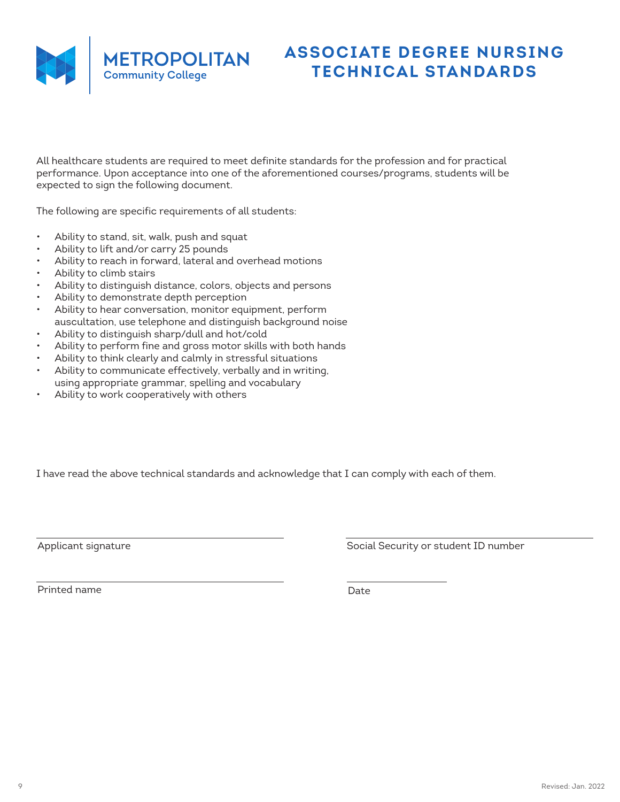

# **ASSOCIATE DEGREE NURSING TECHNICAL STANDARDS**

All healthcare students are required to meet definite standards for the profession and for practical performance. Upon acceptance into one of the aforementioned courses/programs, students will be expected to sign the following document.

The following are specific requirements of all students:

- Ability to stand, sit, walk, push and squat
- Ability to lift and/or carry 25 pounds
- Ability to reach in forward, lateral and overhead motions
- Ability to climb stairs
- Ability to distinguish distance, colors, objects and persons
- Ability to demonstrate depth perception
- Ability to hear conversation, monitor equipment, perform auscultation, use telephone and distinguish background noise
- Ability to distinguish sharp/dull and hot/cold
- Ability to perform fine and gross motor skills with both hands
- Ability to think clearly and calmly in stressful situations
- Ability to communicate effectively, verbally and in writing, using appropriate grammar, spelling and vocabulary
- Ability to work cooperatively with others

I have read the above technical standards and acknowledge that I can comply with each of them.

Applicant signature Applicant signature Social Security or student ID number

Printed name Date Date Date Date Date Date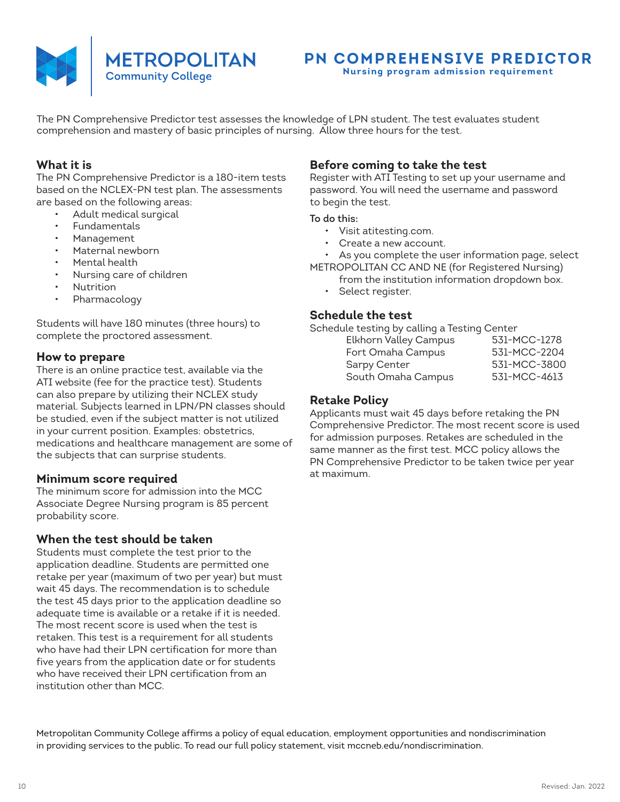

# **PN COMPREHENSIVE PREDICTOR**

**Nursing program admission requirement**

The PN Comprehensive Predictor test assesses the knowledge of LPN student. The test evaluates student comprehension and mastery of basic principles of nursing. Allow three hours for the test.

### **What it is**

The PN Comprehensive Predictor is a 180-item tests based on the NCLEX-PN test plan. The assessments are based on the following areas:

- Adult medical surgical
- **Fundamentals**
- Management
- Maternal newborn
- Mental health
- Nursing care of children
- Nutrition
- Pharmacology

Students will have 180 minutes (three hours) to complete the proctored assessment.

### **How to prepare**

There is an online practice test, available via the ATI website (fee for the practice test). Students can also prepare by utilizing their NCLEX study material. Subjects learned in LPN/PN classes should be studied, even if the subject matter is not utilized in your current position. Examples: obstetrics, medications and healthcare management are some of the subjects that can surprise students.

### **Minimum score required**

The minimum score for admission into the MCC Associate Degree Nursing program is 85 percent probability score.

### **When the test should be taken**

Students must complete the test prior to the application deadline. Students are permitted one retake per year (maximum of two per year) but must wait 45 days. The recommendation is to schedule the test 45 days prior to the application deadline so adequate time is available or a retake if it is needed. The most recent score is used when the test is retaken. This test is a requirement for all students who have had their LPN certification for more than five years from the application date or for students who have received their LPN certification from an institution other than MCC.

## **Before coming to take the test**

Register with ATI Testing to set up your username and password. You will need the username and password to begin the test.

#### To do this:

- Visit atitesting.com.
- Create a new account.

• As you complete the user information page, select METROPOLITAN CC AND NE (for Registered Nursing)

- from the institution information dropdown box.
- Select register.

### **Schedule the test**

Schedule testing by calling a Testing Center

| <b>Elkhorn Valley Campus</b> | 531-MCC-1278 |
|------------------------------|--------------|
| Fort Omaha Campus            | 531-MCC-2204 |
| Sarpy Center                 | 531-MCC-3800 |
| South Omaha Campus           | 531-MCC-4613 |
|                              |              |

### **Retake Policy**

Applicants must wait 45 days before retaking the PN Comprehensive Predictor. The most recent score is used for admission purposes. Retakes are scheduled in the same manner as the first test. MCC policy allows the PN Comprehensive Predictor to be taken twice per year at maximum.

Metropolitan Community College affirms a policy of equal education, employment opportunities and nondiscrimination in providing services to the public. To read our full policy statement, visit mccneb.edu/nondiscrimination.